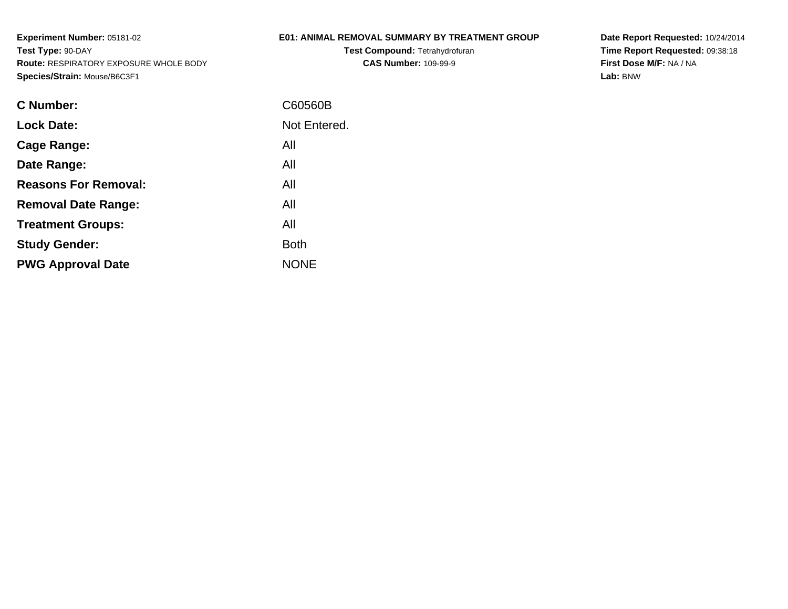## **E01: ANIMAL REMOVAL SUMMARY BY TREATMENT GROUP**

**Test Compound:** Tetrahydrofuran**CAS Number:** 109-99-9

| <b>C</b> Number:            | C60560B      |
|-----------------------------|--------------|
| <b>Lock Date:</b>           | Not Entered. |
| Cage Range:                 | All          |
| Date Range:                 | All          |
| <b>Reasons For Removal:</b> | All          |
| <b>Removal Date Range:</b>  | All          |
| <b>Treatment Groups:</b>    | All          |
| <b>Study Gender:</b>        | <b>Both</b>  |
| <b>PWG Approval Date</b>    | <b>NONE</b>  |
|                             |              |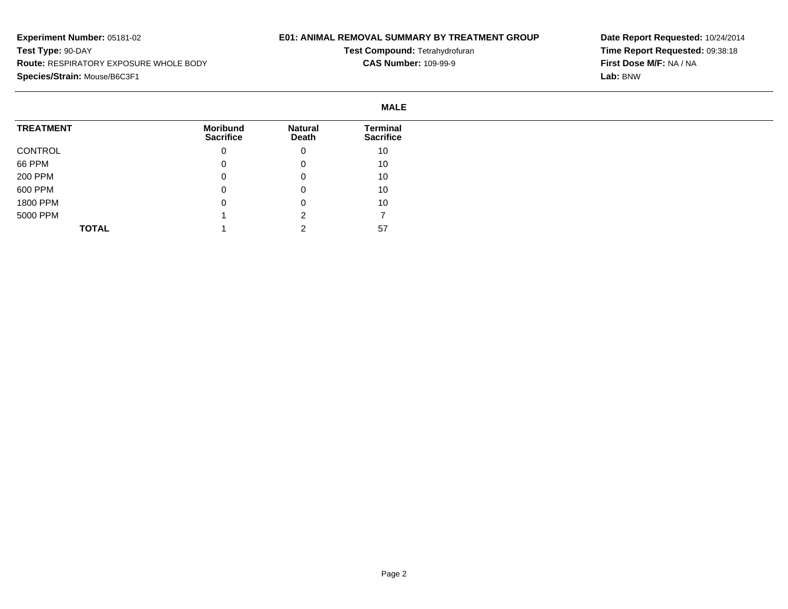## **E01: ANIMAL REMOVAL SUMMARY BY TREATMENT GROUP**

**Test Compound:** Tetrahydrofuran**CAS Number:** 109-99-9

|                  | <b>MALE</b>                         |                         |                                     |
|------------------|-------------------------------------|-------------------------|-------------------------------------|
| <b>TREATMENT</b> | <b>Moribund</b><br><b>Sacrifice</b> | <b>Natural</b><br>Death | <b>Terminal</b><br><b>Sacrifice</b> |
| CONTROL          | 0                                   | 0                       | 10                                  |
| 66 PPM           | 0                                   | $\mathbf 0$             | 10                                  |
| 200 PPM          | 0                                   | 0                       | 10                                  |
| 600 PPM          | 0                                   | 0                       | 10                                  |
| 1800 PPM         | 0                                   | 0                       | 10                                  |
| 5000 PPM         |                                     | ົ                       |                                     |
| <b>TOTAL</b>     |                                     | ີ                       | 57                                  |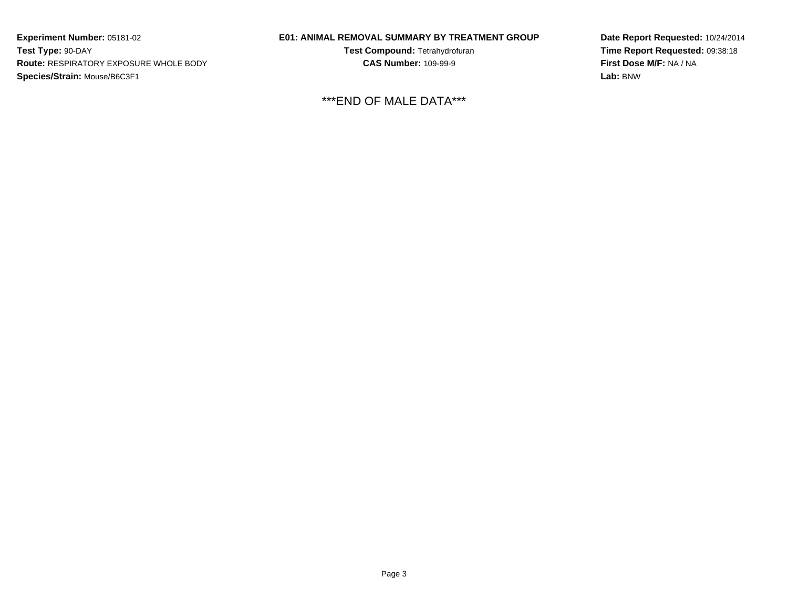### **E01: ANIMAL REMOVAL SUMMARY BY TREATMENT GROUP**

**Test Compound:** Tetrahydrofuran**CAS Number:** 109-99-9

\*\*\*END OF MALE DATA\*\*\*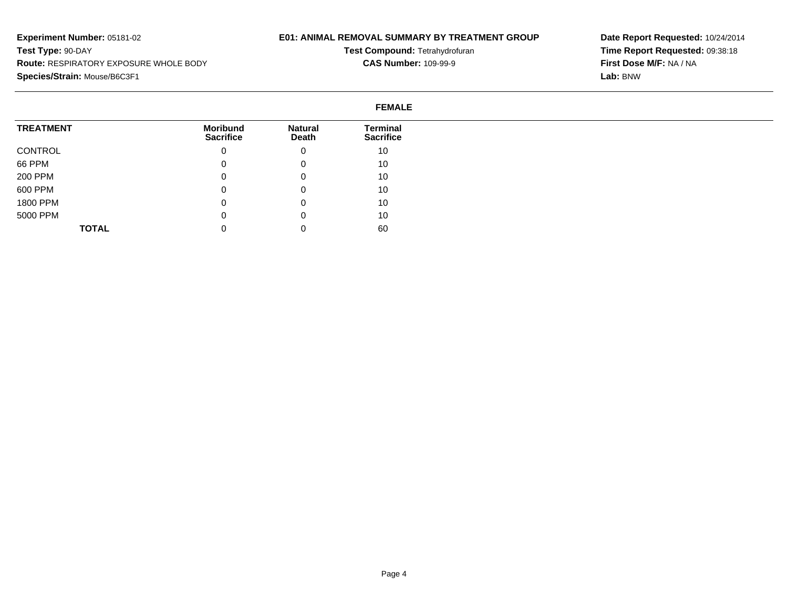## **E01: ANIMAL REMOVAL SUMMARY BY TREATMENT GROUP**

**Test Compound:** Tetrahydrofuran**CAS Number:** 109-99-9

|                  | <b>FEMALE</b>                       |                         |                                     |
|------------------|-------------------------------------|-------------------------|-------------------------------------|
| <b>TREATMENT</b> | <b>Moribund</b><br><b>Sacrifice</b> | <b>Natural</b><br>Death | <b>Terminal</b><br><b>Sacrifice</b> |
| CONTROL          | 0                                   | 0                       | 10                                  |
| 66 PPM           | U                                   | 0                       | 10                                  |
| 200 PPM          | 0                                   | 0                       | 10                                  |
| 600 PPM          | 0                                   | 0                       | 10                                  |
| 1800 PPM         | $\sqrt{2}$<br>U                     | 0                       | 10                                  |
| 5000 PPM         | 0                                   | 0                       | 10                                  |
| <b>TOTAL</b>     | U                                   | 0                       | 60                                  |